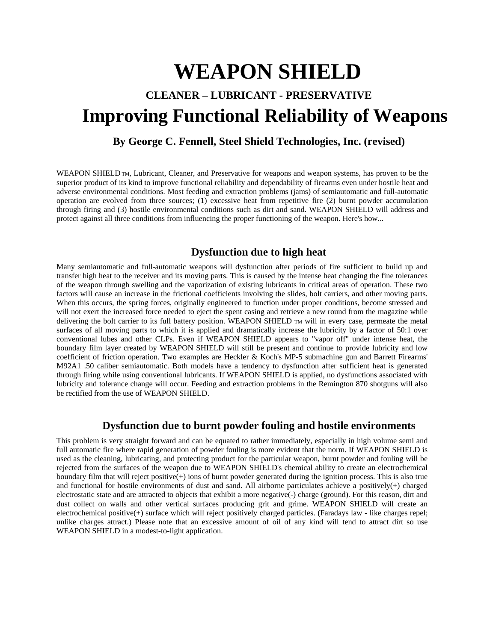# **WEAPON SHIELD**

# **CLEANER – LUBRICANT - PRESERVATIVE Improving Functional Reliability of Weapons**

## **By George C. Fennell, Steel Shield Technologies, Inc. (revised)**

WEAPON SHIELD TM, Lubricant, Cleaner, and Preservative for weapons and weapon systems, has proven to be the superior product of its kind to improve functional reliability and dependability of firearms even under hostile heat and adverse environmental conditions. Most feeding and extraction problems (jams) of semiautomatic and full-automatic operation are evolved from three sources; (1) excessive heat from repetitive fire (2) burnt powder accumulation through firing and (3) hostile environmental conditions such as dirt and sand. WEAPON SHIELD will address and protect against all three conditions from influencing the proper functioning of the weapon. Here's how...

#### **Dysfunction due to high heat**

Many semiautomatic and full-automatic weapons will dysfunction after periods of fire sufficient to build up and transfer high heat to the receiver and its moving parts. This is caused by the intense heat changing the fine tolerances of the weapon through swelling and the vaporization of existing lubricants in critical areas of operation. These two factors will cause an increase in the frictional coefficients involving the slides, bolt carriers, and other moving parts. When this occurs, the spring forces, originally engineered to function under proper conditions, become stressed and will not exert the increased force needed to eject the spent casing and retrieve a new round from the magazine while delivering the bolt carrier to its full battery position. WEAPON SHIELD  $TM$  will in every case, permeate the metal surfaces of all moving parts to which it is applied and dramatically increase the lubricity by a factor of 50:1 over conventional lubes and other CLPs. Even if WEAPON SHIELD appears to "vapor off" under intense heat, the boundary film layer created by WEAPON SHIELD will still be present and continue to provide lubricity and low coefficient of friction operation. Two examples are Heckler & Koch's MP-5 submachine gun and Barrett Firearms' M92A1 .50 caliber semiautomatic. Both models have a tendency to dysfunction after sufficient heat is generated through firing while using conventional lubricants. If WEAPON SHIELD is applied, no dysfunctions associated with lubricity and tolerance change will occur. Feeding and extraction problems in the Remington 870 shotguns will also be rectified from the use of WEAPON SHIELD.

#### **Dysfunction due to burnt powder fouling and hostile environments**

This problem is very straight forward and can be equated to rather immediately, especially in high volume semi and full automatic fire where rapid generation of powder fouling is more evident that the norm. If WEAPON SHIELD is used as the cleaning, lubricating, and protecting product for the particular weapon, burnt powder and fouling will be rejected from the surfaces of the weapon due to WEAPON SHIELD's chemical ability to create an electrochemical boundary film that will reject positive(+) ions of burnt powder generated during the ignition process. This is also true and functional for hostile environments of dust and sand. All airborne particulates achieve a positively $(+)$  charged electrostatic state and are attracted to objects that exhibit a more negative(-) charge (ground). For this reason, dirt and dust collect on walls and other vertical surfaces producing grit and grime. WEAPON SHIELD will create an electrochemical positive(+) surface which will reject positively charged particles. (Faradays law - like charges repel; unlike charges attract.) Please note that an excessive amount of oil of any kind will tend to attract dirt so use WEAPON SHIELD in a modest-to-light application.